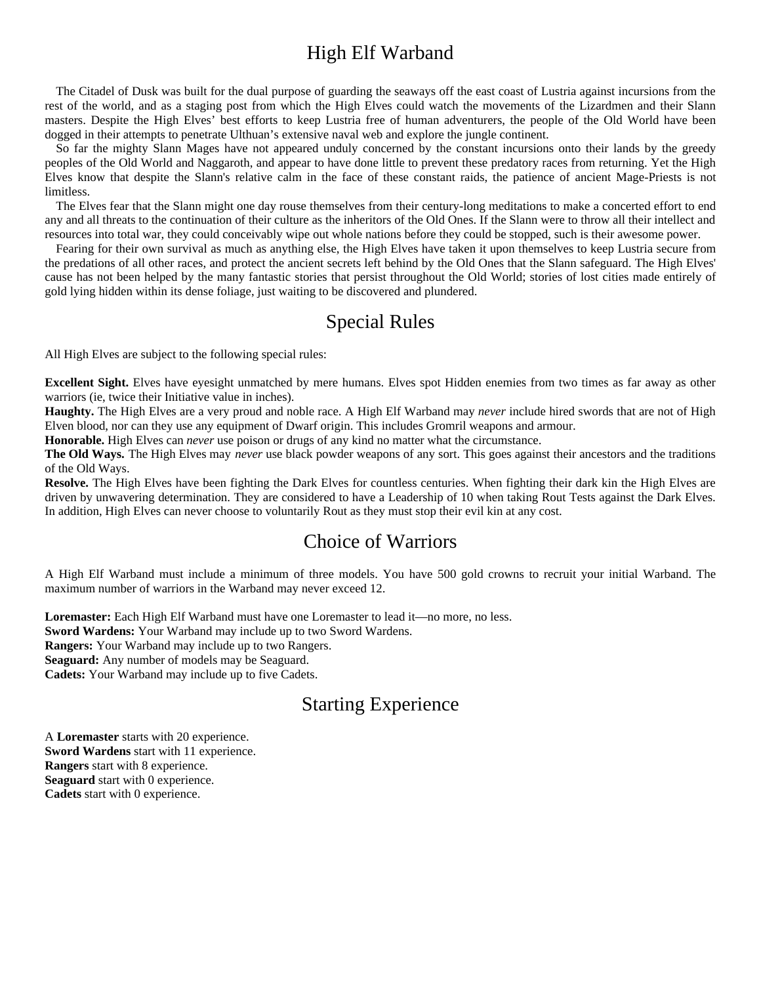# High Elf Warband

The Citadel of Dusk was built for the dual purpose of guarding the seaways off the east coast of Lustria against incursions from the rest of the world, and as a staging post from which the High Elves could watch the movements of the Lizardmen and their Slann masters. Despite the High Elves' best efforts to keep Lustria free of human adventurers, the people of the Old World have been dogged in their attempts to penetrate Ulthuan's extensive naval web and explore the jungle continent.

So far the mighty Slann Mages have not appeared unduly concerned by the constant incursions onto their lands by the greedy peoples of the Old World and Naggaroth, and appear to have done little to prevent these predatory races from returning. Yet the High Elves know that despite the Slann's relative calm in the face of these constant raids, the patience of ancient Mage-Priests is not limitless.

The Elves fear that the Slann might one day rouse themselves from their century-long meditations to make a concerted effort to end any and all threats to the continuation of their culture as the inheritors of the Old Ones. If the Slann were to throw all their intellect and resources into total war, they could conceivably wipe out whole nations before they could be stopped, such is their awesome power.

Fearing for their own survival as much as anything else, the High Elves have taken it upon themselves to keep Lustria secure from the predations of all other races, and protect the ancient secrets left behind by the Old Ones that the Slann safeguard. The High Elves' cause has not been helped by the many fantastic stories that persist throughout the Old World; stories of lost cities made entirely of gold lying hidden within its dense foliage, just waiting to be discovered and plundered.

# Special Rules

All High Elves are subject to the following special rules:

**Excellent Sight.** Elves have eyesight unmatched by mere humans. Elves spot Hidden enemies from two times as far away as other warriors (ie, twice their Initiative value in inches).

**Haughty.** The High Elves are a very proud and noble race. A High Elf Warband may *never* include hired swords that are not of High Elven blood, nor can they use any equipment of Dwarf origin. This includes Gromril weapons and armour.

**Honorable.** High Elves can *never* use poison or drugs of any kind no matter what the circumstance.

**The Old Ways.** The High Elves may *never* use black powder weapons of any sort. This goes against their ancestors and the traditions of the Old Ways.

**Resolve.** The High Elves have been fighting the Dark Elves for countless centuries. When fighting their dark kin the High Elves are driven by unwavering determination. They are considered to have a Leadership of 10 when taking Rout Tests against the Dark Elves. In addition, High Elves can never choose to voluntarily Rout as they must stop their evil kin at any cost.

# Choice of Warriors

A High Elf Warband must include a minimum of three models. You have 500 gold crowns to recruit your initial Warband. The maximum number of warriors in the Warband may never exceed 12.

**Loremaster:** Each High Elf Warband must have one Loremaster to lead it—no more, no less.

**Sword Wardens:** Your Warband may include up to two Sword Wardens.

**Rangers:** Your Warband may include up to two Rangers.

**Seaguard:** Any number of models may be Seaguard.

**Cadets:** Your Warband may include up to five Cadets.

# Starting Experience

A **Loremaster** starts with 20 experience. **Sword Wardens** start with 11 experience. **Rangers** start with 8 experience. **Seaguard** start with 0 experience. **Cadets** start with 0 experience.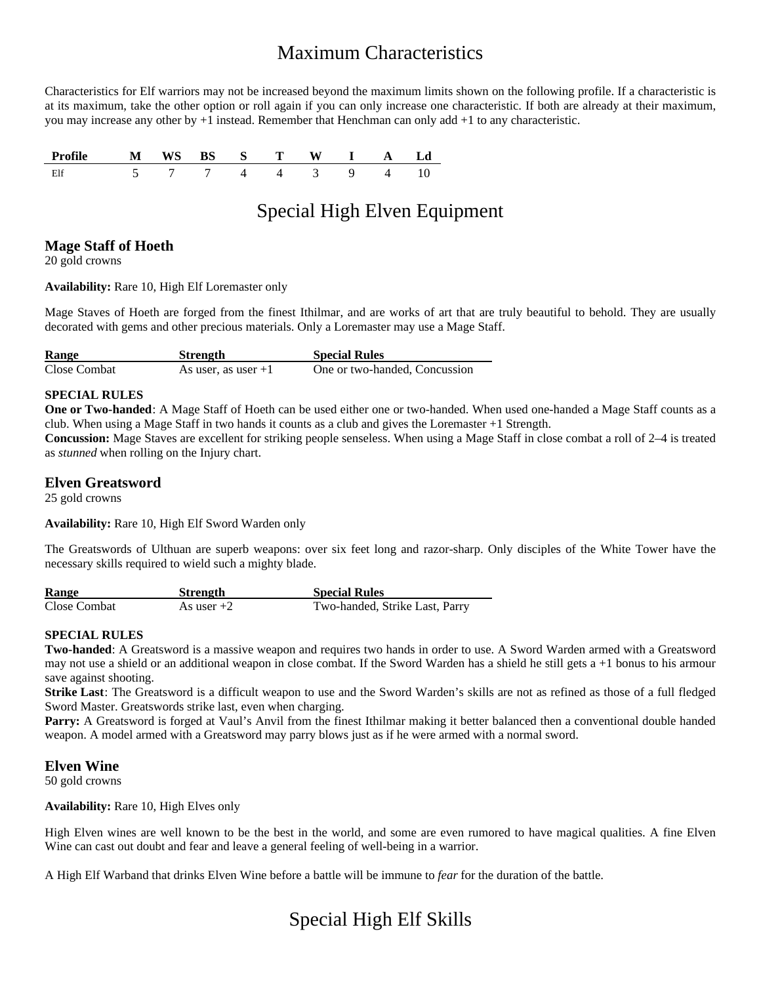# Maximum Characteristics

Characteristics for Elf warriors may not be increased beyond the maximum limits shown on the following profile. If a characteristic is at its maximum, take the other option or roll again if you can only increase one characteristic. If both are already at their maximum, you may increase any other by +1 instead. Remember that Henchman can only add +1 to any characteristic.

| Profile M WS BS S T W I A Ld |                    |  |  |  |  |
|------------------------------|--------------------|--|--|--|--|
| Elf                          | 5 7 7 4 4 3 9 4 10 |  |  |  |  |

# Special High Elven Equipment

# **Mage Staff of Hoeth**

20 gold crowns

**Availability:** Rare 10, High Elf Loremaster only

Mage Staves of Hoeth are forged from the finest Ithilmar, and are works of art that are truly beautiful to behold. They are usually decorated with gems and other precious materials. Only a Loremaster may use a Mage Staff.

| Range        | <b>Strength</b>       | <b>Special Rules</b>          |
|--------------|-----------------------|-------------------------------|
| Close Combat | As user, as user $+1$ | One or two-handed, Concussion |

# **SPECIAL RULES**

**One or Two-handed**: A Mage Staff of Hoeth can be used either one or two-handed. When used one-handed a Mage Staff counts as a club. When using a Mage Staff in two hands it counts as a club and gives the Loremaster +1 Strength.

**Concussion:** Mage Staves are excellent for striking people senseless. When using a Mage Staff in close combat a roll of 2–4 is treated as *stunned* when rolling on the Injury chart.

# **Elven Greatsword**

25 gold crowns

**Availability:** Rare 10, High Elf Sword Warden only

The Greatswords of Ulthuan are superb weapons: over six feet long and razor-sharp. Only disciples of the White Tower have the necessary skills required to wield such a mighty blade.

| <b>Range</b> | Strength     | <b>Special Rules</b>           |
|--------------|--------------|--------------------------------|
| Close Combat | As user $+2$ | Two-handed, Strike Last, Parry |

# **SPECIAL RULES**

**Two-handed**: A Greatsword is a massive weapon and requires two hands in order to use. A Sword Warden armed with a Greatsword may not use a shield or an additional weapon in close combat. If the Sword Warden has a shield he still gets a +1 bonus to his armour save against shooting.

**Strike Last**: The Greatsword is a difficult weapon to use and the Sword Warden's skills are not as refined as those of a full fledged Sword Master. Greatswords strike last, even when charging.

**Parry:** A Greatsword is forged at Vaul's Anvil from the finest Ithilmar making it better balanced then a conventional double handed weapon. A model armed with a Greatsword may parry blows just as if he were armed with a normal sword.

# **Elven Wine**

50 gold crowns

# **Availability:** Rare 10, High Elves only

High Elven wines are well known to be the best in the world, and some are even rumored to have magical qualities. A fine Elven Wine can cast out doubt and fear and leave a general feeling of well-being in a warrior.

A High Elf Warband that drinks Elven Wine before a battle will be immune to *fear* for the duration of the battle.

# Special High Elf Skills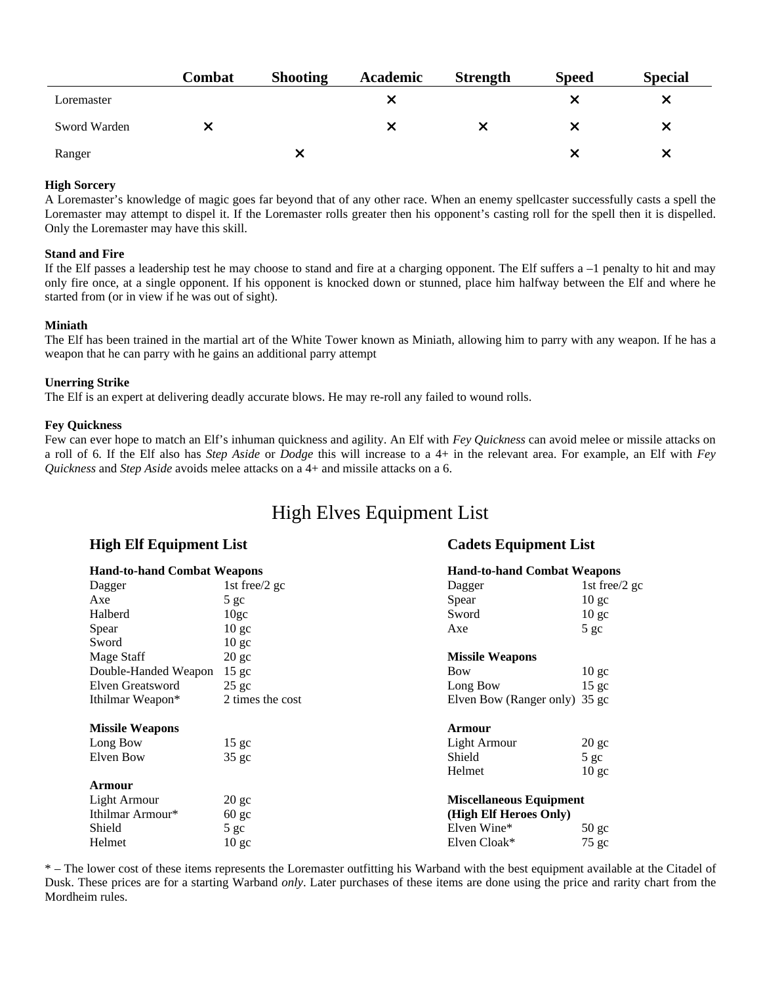|              | Combat | <b>Shooting</b> | Academic | <b>Strength</b> | <b>Speed</b> | <b>Special</b> |
|--------------|--------|-----------------|----------|-----------------|--------------|----------------|
| Loremaster   |        |                 | ⌒        |                 |              | x              |
| Sword Warden |        |                 |          |                 |              | x              |
| Ranger       |        | ⌒               |          |                 |              | X              |

# **High Sorcery**

A Loremaster's knowledge of magic goes far beyond that of any other race. When an enemy spellcaster successfully casts a spell the Loremaster may attempt to dispel it. If the Loremaster rolls greater then his opponent's casting roll for the spell then it is dispelled. Only the Loremaster may have this skill.

#### **Stand and Fire**

If the Elf passes a leadership test he may choose to stand and fire at a charging opponent. The Elf suffers  $a - 1$  penalty to hit and may only fire once, at a single opponent. If his opponent is knocked down or stunned, place him halfway between the Elf and where he started from (or in view if he was out of sight).

#### **Miniath**

The Elf has been trained in the martial art of the White Tower known as Miniath, allowing him to parry with any weapon. If he has a weapon that he can parry with he gains an additional parry attempt

### **Unerring Strike**

The Elf is an expert at delivering deadly accurate blows. He may re-roll any failed to wound rolls.

### **Fey Quickness**

Few can ever hope to match an Elf's inhuman quickness and agility. An Elf with *Fey Quickness* can avoid melee or missile attacks on a roll of 6. If the Elf also has *Step Aside* or *Dodge* this will increase to a 4+ in the relevant area. For example, an Elf with *Fey Quickness* and *Step Aside* avoids melee attacks on a 4+ and missile attacks on a 6.

# High Elves Equipment List

# **High Elf Equipment List Cadets Equipment List**

| <b>Hand-to-hand Combat Weapons</b> |                  |                                | <b>Hand-to-hand Combat Weapons</b> |  |  |
|------------------------------------|------------------|--------------------------------|------------------------------------|--|--|
| Dagger                             | 1st free/2 gc    | Dagger                         | 1st free/2 gc                      |  |  |
| Axe                                | 5 <sub>gc</sub>  | Spear                          | 10 <sub>gc</sub>                   |  |  |
| Halberd                            | 10 <sub>gc</sub> | Sword                          | 10 <sub>gc</sub>                   |  |  |
| Spear                              | 10 <sub>gc</sub> | Axe                            | 5 gc                               |  |  |
| Sword                              | 10 <sub>gc</sub> |                                |                                    |  |  |
| Mage Staff                         | $20$ gc          | <b>Missile Weapons</b>         |                                    |  |  |
| Double-Handed Weapon               | 15 <sub>gc</sub> | Bow                            | 10 <sub>gc</sub>                   |  |  |
| Elven Greatsword                   | $25$ gc          | Long Bow                       | 15 <sub>gc</sub>                   |  |  |
| Ithilmar Weapon*                   | 2 times the cost | Elven Bow (Ranger only) 35 gc  |                                    |  |  |
| <b>Missile Weapons</b>             |                  | <b>Armour</b>                  |                                    |  |  |
| Long Bow                           | 15 <sub>gc</sub> | Light Armour                   | $20 \text{ gc}$                    |  |  |
| Elven Bow                          | 35 <sub>gc</sub> | Shield                         | 5 gc                               |  |  |
|                                    |                  | Helmet                         | 10 <sub>gc</sub>                   |  |  |
| Armour                             |                  |                                |                                    |  |  |
| Light Armour                       | $20$ gc          | <b>Miscellaneous Equipment</b> |                                    |  |  |
| Ithilmar Armour*                   | $60 \text{ gc}$  | (High Elf Heroes Only)         |                                    |  |  |
| Shield                             | 5 <sub>gc</sub>  | Elven Wine*                    | $50$ gc                            |  |  |
| Helmet                             | 10 <sub>gc</sub> | Elven Cloak*                   | $75$ gc                            |  |  |

\* – The lower cost of these items represents the Loremaster outfitting his Warband with the best equipment available at the Citadel of Dusk. These prices are for a starting Warband *only*. Later purchases of these items are done using the price and rarity chart from the Mordheim rules.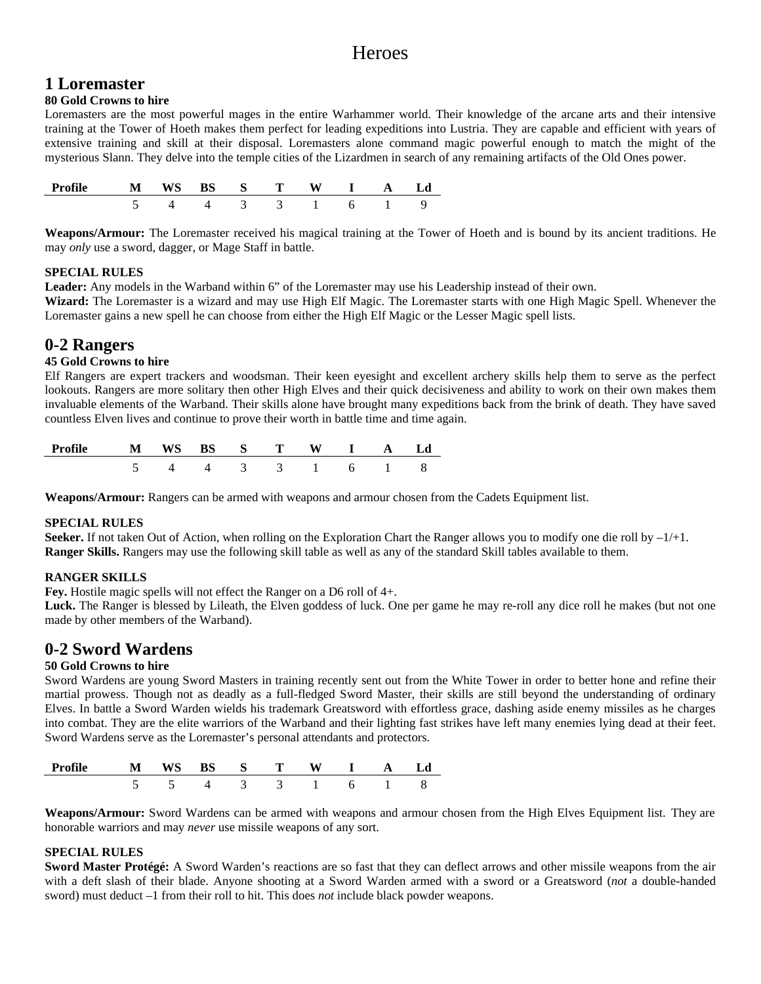# **Heroes**

# **1 Loremaster**

# **80 Gold Crowns to hire**

Loremasters are the most powerful mages in the entire Warhammer world. Their knowledge of the arcane arts and their intensive training at the Tower of Hoeth makes them perfect for leading expeditions into Lustria. They are capable and efficient with years of extensive training and skill at their disposal. Loremasters alone command magic powerful enough to match the might of the mysterious Slann. They delve into the temple cities of the Lizardmen in search of any remaining artifacts of the Old Ones power.

| Profile | WS | $S$ T  |               |  |  |
|---------|----|--------|---------------|--|--|
|         |    | $\sim$ | $\mathcal{L}$ |  |  |

**Weapons/Armour:** The Loremaster received his magical training at the Tower of Hoeth and is bound by its ancient traditions. He may *only* use a sword, dagger, or Mage Staff in battle.

### **SPECIAL RULES**

**Leader:** Any models in the Warband within 6" of the Loremaster may use his Leadership instead of their own. **Wizard:** The Loremaster is a wizard and may use High Elf Magic. The Loremaster starts with one High Magic Spell. Whenever the Loremaster gains a new spell he can choose from either the High Elf Magic or the Lesser Magic spell lists.

# **0-2 Rangers**

# **45 Gold Crowns to hire**

Elf Rangers are expert trackers and woodsman. Their keen eyesight and excellent archery skills help them to serve as the perfect lookouts. Rangers are more solitary then other High Elves and their quick decisiveness and ability to work on their own makes them invaluable elements of the Warband. Their skills alone have brought many expeditions back from the brink of death. They have saved countless Elven lives and continue to prove their worth in battle time and time again.

| Profile M WS BS S T W I A Ld |                   |  |  |  |  |
|------------------------------|-------------------|--|--|--|--|
|                              | 5 4 4 3 3 1 6 1 8 |  |  |  |  |

**Weapons/Armour:** Rangers can be armed with weapons and armour chosen from the Cadets Equipment list.

# **SPECIAL RULES**

**Seeker.** If not taken Out of Action, when rolling on the Exploration Chart the Ranger allows you to modify one die roll by  $-1/+1$ . **Ranger Skills.** Rangers may use the following skill table as well as any of the standard Skill tables available to them.

# **RANGER SKILLS**

**Fey.** Hostile magic spells will not effect the Ranger on a D6 roll of 4+.

Luck. The Ranger is blessed by Lileath, the Elven goddess of luck. One per game he may re-roll any dice roll he makes (but not one made by other members of the Warband).

# **0-2 Sword Wardens**

# **50 Gold Crowns to hire**

Sword Wardens are young Sword Masters in training recently sent out from the White Tower in order to better hone and refine their martial prowess. Though not as deadly as a full-fledged Sword Master, their skills are still beyond the understanding of ordinary Elves. In battle a Sword Warden wields his trademark Greatsword with effortless grace, dashing aside enemy missiles as he charges into combat. They are the elite warriors of the Warband and their lighting fast strikes have left many enemies lying dead at their feet. Sword Wardens serve as the Loremaster's personal attendants and protectors.

| Profile |  | $\mathbf{S}$ $\mathbf{S}$ |        |  |  |
|---------|--|---------------------------|--------|--|--|
|         |  |                           | $\sim$ |  |  |

**Weapons/Armour:** Sword Wardens can be armed with weapons and armour chosen from the High Elves Equipment list. They are honorable warriors and may *never* use missile weapons of any sort.

# **SPECIAL RULES**

**Sword Master Protégé:** A Sword Warden's reactions are so fast that they can deflect arrows and other missile weapons from the air with a deft slash of their blade. Anyone shooting at a Sword Warden armed with a sword or a Greatsword (*not* a double-handed sword) must deduct –1 from their roll to hit. This does *not* include black powder weapons.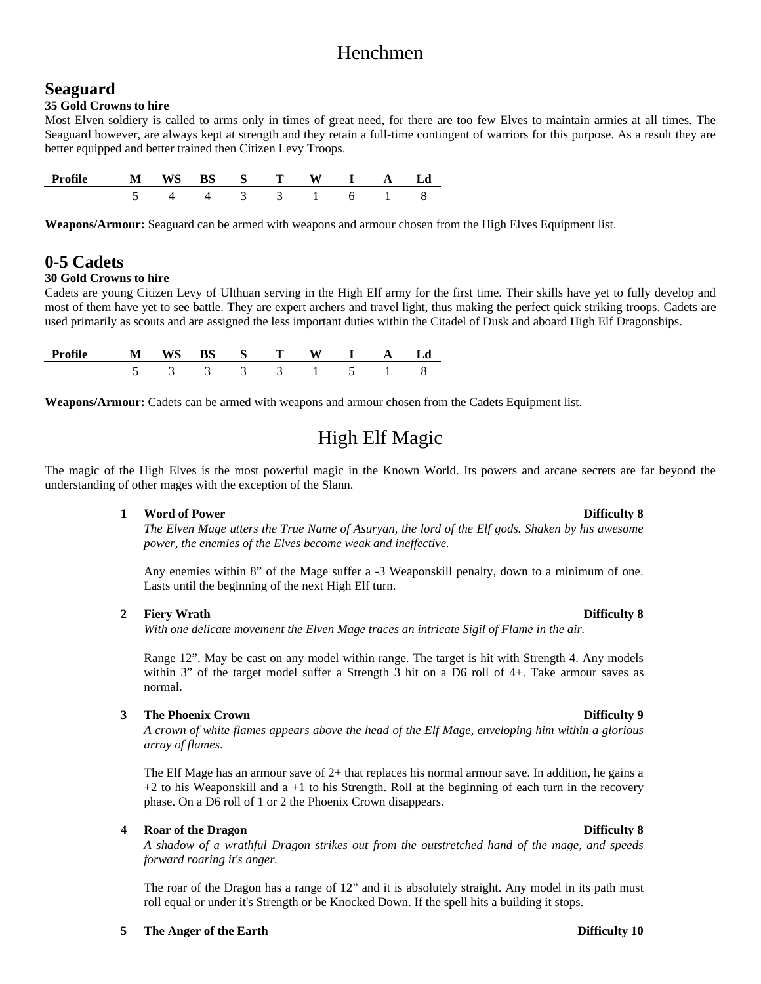# Henchmen

# **Seaguard**

# **35 Gold Crowns to hire**

Most Elven soldiery is called to arms only in times of great need, for there are too few Elves to maintain armies at all times. The Seaguard however, are always kept at strength and they retain a full-time contingent of warriors for this purpose. As a result they are better equipped and better trained then Citizen Levy Troops.

| Profile | ws<br>N | $\mathbf{S}$ | V |  | ∟ d |
|---------|---------|--------------|---|--|-----|
|         |         |              |   |  |     |

**Weapons/Armour:** Seaguard can be armed with weapons and armour chosen from the High Elves Equipment list.

# **0-5 Cadets**

# **30 Gold Crowns to hire**

Cadets are young Citizen Levy of Ulthuan serving in the High Elf army for the first time. Their skills have yet to fully develop and most of them have yet to see battle. They are expert archers and travel light, thus making the perfect quick striking troops. Cadets are used primarily as scouts and are assigned the less important duties within the Citadel of Dusk and aboard High Elf Dragonships.

| Profile |               |               |               | $\cdot$ S T         |                      |  |
|---------|---------------|---------------|---------------|---------------------|----------------------|--|
|         | $\sim$ $\sim$ | $\sim$ $\sim$ | $\sim$ $\sim$ | $\sim$ 3.000 $\sim$ | $\sim$ $\sim$ $\sim$ |  |

**Weapons/Armour:** Cadets can be armed with weapons and armour chosen from the Cadets Equipment list.

# High Elf Magic

The magic of the High Elves is the most powerful magic in the Known World. Its powers and arcane secrets are far beyond the understanding of other mages with the exception of the Slann.

# **1 Word of Power Difficulty 8**

*The Elven Mage utters the True Name of Asuryan, the lord of the Elf gods. Shaken by his awesome power, the enemies of the Elves become weak and ineffective.*

Any enemies within 8" of the Mage suffer a -3 Weaponskill penalty, down to a minimum of one. Lasts until the beginning of the next High Elf turn.

# **2 Fiery Wrath Difficulty 8**

*With one delicate movement the Elven Mage traces an intricate Sigil of Flame in the air.*

Range 12". May be cast on any model within range. The target is hit with Strength 4. Any models within 3" of the target model suffer a Strength 3 hit on a D6 roll of 4+. Take armour saves as normal.

# **3 The Phoenix Crown Difficulty 9**

*A crown of white flames appears above the head of the Elf Mage, enveloping him within a glorious array of flames*.

The Elf Mage has an armour save of 2+ that replaces his normal armour save. In addition, he gains a  $+2$  to his Weaponskill and a  $+1$  to his Strength. Roll at the beginning of each turn in the recovery phase. On a D6 roll of 1 or 2 the Phoenix Crown disappears.

# **4 Roar of the Dragon Difficulty 8**

*A shadow of a wrathful Dragon strikes out from the outstretched hand of the mage, and speeds forward roaring it's anger.*

The roar of the Dragon has a range of 12" and it is absolutely straight. Any model in its path must roll equal or under it's Strength or be Knocked Down. If the spell hits a building it stops.

# **5 The Anger of the Earth Difficulty 10**